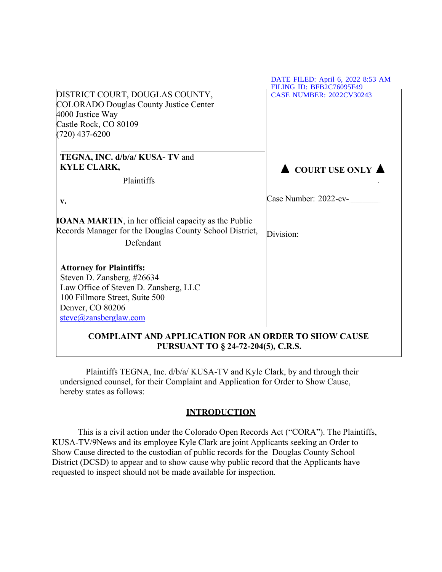|                                                                                                                                                                                       | DATE FILED: April 6, 2022 8:53 AM<br><b>FILING ID: RFR2C76095F49</b> |
|---------------------------------------------------------------------------------------------------------------------------------------------------------------------------------------|----------------------------------------------------------------------|
| DISTRICT COURT, DOUGLAS COUNTY,<br><b>COLORADO Douglas County Justice Center</b><br>4000 Justice Way<br>Castle Rock, CO 80109<br>$(720)$ 437-6200                                     | <b>CASE NUMBER: 2022CV30243</b>                                      |
| TEGNA, INC. d/b/a/ KUSA-TV and<br><b>KYLE CLARK,</b><br>Plaintiffs                                                                                                                    | $\triangle$ COURT USE ONLY $\triangle$                               |
| v.                                                                                                                                                                                    | Case Number: 2022-cv-                                                |
| <b>IOANA MARTIN</b> , in her official capacity as the Public<br>Records Manager for the Douglas County School District,<br>Defendant                                                  | Division:                                                            |
| <b>Attorney for Plaintiffs:</b><br>Steven D. Zansberg, #26634<br>Law Office of Steven D. Zansberg, LLC<br>100 Fillmore Street, Suite 500<br>Denver, CO 80206<br>steve@zansberglaw.com |                                                                      |
| <b>COMPLAINT AND APPLICATION FOR AN ORDER TO SHOW CAUSE</b><br>PURSUANT TO § 24-72-204(5), C.R.S.                                                                                     |                                                                      |

Plaintiffs TEGNA, Inc. d/b/a/ KUSA-TV and Kyle Clark, by and through their undersigned counsel, for their Complaint and Application for Order to Show Cause, hereby states as follows:

# **INTRODUCTION**

This is a civil action under the Colorado Open Records Act ("CORA"). The Plaintiffs, KUSA-TV/9News and its employee Kyle Clark are joint Applicants seeking an Order to Show Cause directed to the custodian of public records for the Douglas County School District (DCSD) to appear and to show cause why public record that the Applicants have requested to inspect should not be made available for inspection.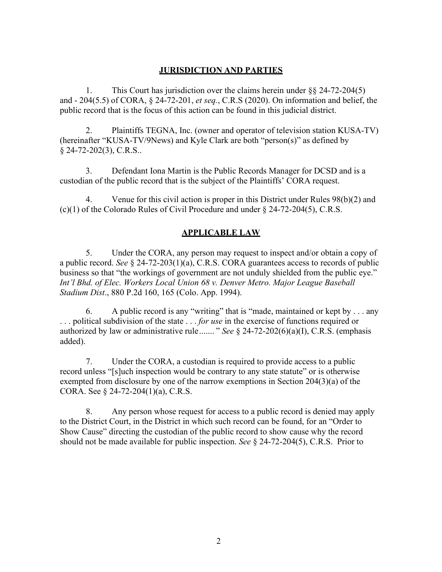### **JURISDICTION AND PARTIES**

1. This Court has jurisdiction over the claims herein under §§ 24-72-204(5) and - 204(5.5) of CORA, § 24-72-201, *et seq.*, C.R.S (2020). On information and belief, the public record that is the focus of this action can be found in this judicial district.

2. Plaintiffs TEGNA, Inc. (owner and operator of television station KUSA-TV) (hereinafter "KUSA-TV/9News) and Kyle Clark are both "person(s)" as defined by § 24-72-202(3), C.R.S..

3. Defendant Iona Martin is the Public Records Manager for DCSD and is a custodian of the public record that is the subject of the Plaintiffs' CORA request.

4. Venue for this civil action is proper in this District under Rules 98(b)(2) and  $(c)(1)$  of the Colorado Rules of Civil Procedure and under § 24-72-204(5), C.R.S.

# **APPLICABLE LAW**

5. Under the CORA, any person may request to inspect and/or obtain a copy of a public record. *See* § 24-72-203(1)(a), C.R.S. CORA guarantees access to records of public business so that "the workings of government are not unduly shielded from the public eye." *Int'l Bhd. of Elec. Workers Local Union 68 v. Denver Metro. Major League Baseball Stadium Dist*., 880 P.2d 160, 165 (Colo. App. 1994).

6. A public record is any "writing" that is "made, maintained or kept by . . . any . . . political subdivision of the state . . . *for use* in the exercise of functions required or authorized by law or administrative rule ....... " *See* § 24-72-202(6)(a)(I), C.R.S. (emphasis added).

7. Under the CORA, a custodian is required to provide access to a public record unless "[s]uch inspection would be contrary to any state statute" or is otherwise exempted from disclosure by one of the narrow exemptions in Section 204(3)(a) of the CORA. See § 24-72-204(1)(a), C.R.S.

8. Any person whose request for access to a public record is denied may apply to the District Court, in the District in which such record can be found, for an "Order to Show Cause" directing the custodian of the public record to show cause why the record should not be made available for public inspection. *See* § 24-72-204(5), C.R.S. Prior to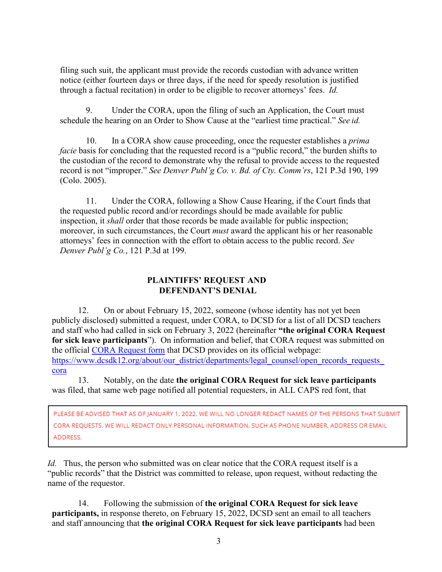filing such suit, the applicant must provide the records custodian with advance written notice (either fourteen days or three days, if the need for speedy resolution is justified through a factual recitation) in order to be eligible to recover attorneys' fees. *Id.*

9. Under the CORA, upon the filing of such an Application, the Court must schedule the hearing on an Order to Show Cause at the "earliest time practical." *See id.* 

10. In a CORA show cause proceeding, once the requester establishes a *prima facie* basis for concluding that the requested record is a "public record," the burden shifts to the custodian of the record to demonstrate why the refusal to provide access to the requested record is not "improper." *See Denver Publ'g Co. v. Bd. of Cty. Comm'rs*, 121 P.3d 190, 199 (Colo. 2005).

11. Under the CORA, following a Show Cause Hearing, if the Court finds that the requested public record and/or recordings should be made available for public inspection, it *shall* order that those records be made available for public inspection; moreover, in such circumstances, the Court *must* award the applicant his or her reasonable attorneys' fees in connection with the effort to obtain access to the public record. *See Denver Publ'g Co.*, 121 P.3d at 199.

### **PLAINTIFFS' REQUEST AND DEFENDANT'S DENIAL**

12. On or about February 15, 2022, someone (whose identity has not yet been publicly disclosed) submitted a request, under CORA, to DCSD for a list of all DCSD teachers and staff who had called in sick on February 3, 2022 (hereinafter **"the original CORA Request for sick leave participants**"). On information and belief, that CORA request was submitted on the official [CORA Request form](https://docs.google.com/forms/d/e/1FAIpQLSfH6UGQmc3x4a0QSgtInSs5Pgl-opZiejkF-TqtNGqcTUqGng/viewform?formkey=dGJSNXpQU241T1pnRjhTTlJwT2JqX2c6MQ#gid=0) that DCSD provides on its official webpage: https://www.dcsdk12.org/about/our\_district/departments/legal\_counsel/open\_records\_requests [cora](https://www.dcsdk12.org/about/our_district/departments/legal_counsel/open_records_requests_cora) 

13. Notably, on the date **the original CORA Request for sick leave participants** was filed, that same web page notified all potential requesters, in ALL CAPS red font, that

PLEASE BE ADVISED THAT AS OF JANUARY 1, 2022, WE WILL NO LONGER REDACT NAMES OF THE PERSONS THAT SUBMIT CORA REQUESTS. WE WILL REDACT ONLY PERSONAL INFORMATION, SUCH AS PHONE NUMBER, ADDRESS OR EMAIL ADDRESS.

*Id.* Thus, the person who submitted was on clear notice that the CORA request itself is a "public records" that the District was committed to release, upon request, without redacting the name of the requestor.

14. Following the submission of **the original CORA Request for sick leave participants,** in response thereto, on February 15, 2022, DCSD sent an email to all teachers and staff announcing that **the original CORA Request for sick leave participants** had been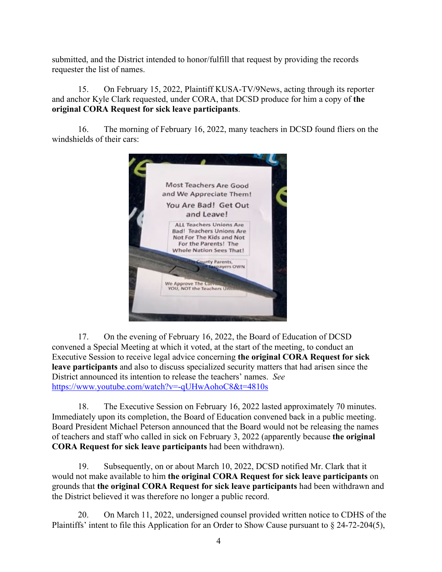submitted, and the District intended to honor/fulfill that request by providing the records requester the list of names.

15. On February 15, 2022, Plaintiff KUSA-TV/9News, acting through its reporter and anchor Kyle Clark requested, under CORA, that DCSD produce for him a copy of **the original CORA Request for sick leave participants**.

16. The morning of February 16, 2022, many teachers in DCSD found fliers on the windshields of their cars:



17. On the evening of February 16, 2022, the Board of Education of DCSD convened a Special Meeting at which it voted, at the start of the meeting, to conduct an Executive Session to receive legal advice concerning **the original CORA Request for sick leave participants** and also to discuss specialized security matters that had arisen since the District announced its intention to release the teachers' names. *See* <https://www.youtube.com/watch?v=-qUHwAohoC8&t=4810s>

18. The Executive Session on February 16, 2022 lasted approximately 70 minutes. Immediately upon its completion, the Board of Education convened back in a public meeting. Board President Michael Peterson announced that the Board would not be releasing the names of teachers and staff who called in sick on February 3, 2022 (apparently because **the original CORA Request for sick leave participants** had been withdrawn).

19. Subsequently, on or about March 10, 2022, DCSD notified Mr. Clark that it would not make available to him **the original CORA Request for sick leave participants** on grounds that **the original CORA Request for sick leave participants** had been withdrawn and the District believed it was therefore no longer a public record.

20. On March 11, 2022, undersigned counsel provided written notice to CDHS of the Plaintiffs' intent to file this Application for an Order to Show Cause pursuant to § 24-72-204(5),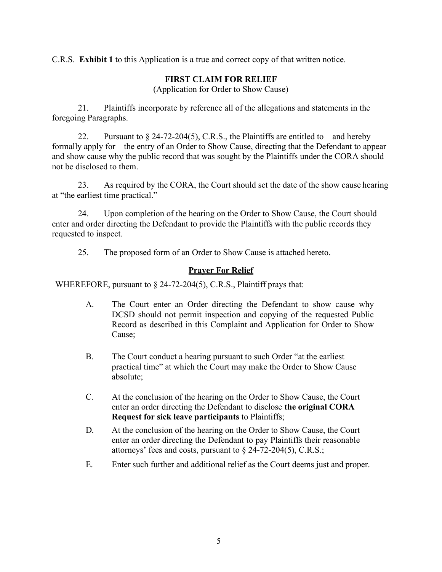C.R.S. **Exhibit 1** to this Application is a true and correct copy of that written notice.

# **FIRST CLAIM FOR RELIEF**

(Application for Order to Show Cause)

21. Plaintiffs incorporate by reference all of the allegations and statements in the foregoing Paragraphs.

22. Pursuant to  $\S$  24-72-204(5), C.R.S., the Plaintiffs are entitled to – and hereby formally apply for – the entry of an Order to Show Cause, directing that the Defendant to appear and show cause why the public record that was sought by the Plaintiffs under the CORA should not be disclosed to them.

23. As required by the CORA, the Court should set the date of the show cause hearing at "the earliest time practical."

24. Upon completion of the hearing on the Order to Show Cause, the Court should enter and order directing the Defendant to provide the Plaintiffs with the public records they requested to inspect.

25. The proposed form of an Order to Show Cause is attached hereto.

### **Prayer For Relief**

WHEREFORE, pursuant to § 24-72-204(5), C.R.S., Plaintiff prays that:

- A. The Court enter an Order directing the Defendant to show cause why DCSD should not permit inspection and copying of the requested Public Record as described in this Complaint and Application for Order to Show Cause;
- B. The Court conduct a hearing pursuant to such Order "at the earliest practical time" at which the Court may make the Order to Show Cause absolute;
- C. At the conclusion of the hearing on the Order to Show Cause, the Court enter an order directing the Defendant to disclose **the original CORA Request for sick leave participants** to Plaintiffs;
- D. At the conclusion of the hearing on the Order to Show Cause, the Court enter an order directing the Defendant to pay Plaintiffs their reasonable attorneys' fees and costs, pursuant to  $\S$  24-72-204(5), C.R.S.;
- E. Enter such further and additional relief as the Court deems just and proper.